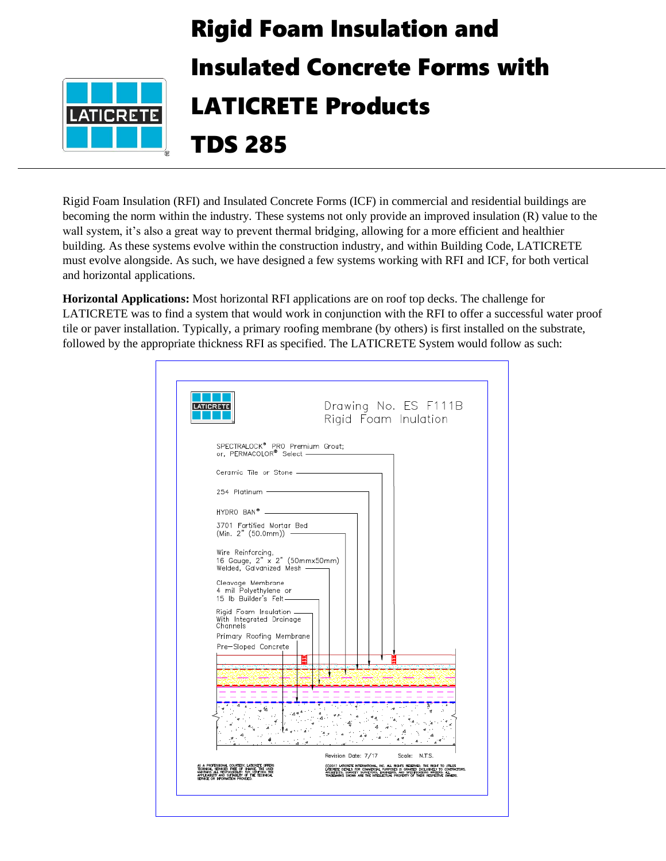

Rigid Foam Insulation (RFI) and Insulated Concrete Forms (ICF) in commercial and residential buildings are becoming the norm within the industry. These systems not only provide an improved insulation (R) value to the wall system, it's also a great way to prevent thermal bridging, allowing for a more efficient and healthier building. As these systems evolve within the construction industry, and within Building Code, LATICRETE must evolve alongside. As such, we have designed a few systems working with RFI and ICF, for both vertical and horizontal applications.

**Horizontal Applications:** Most horizontal RFI applications are on roof top decks. The challenge for LATICRETE was to find a system that would work in conjunction with the RFI to offer a successful water proof tile or paver installation. Typically, a primary roofing membrane (by others) is first installed on the substrate, followed by the appropriate thickness RFI as specified. The LATICRETE System would follow as such:

|                                                                                                                                                                                                                                 | Drawing No. ES F111B<br>Rigid Foam Inulation                                                                                                                                                                                         |
|---------------------------------------------------------------------------------------------------------------------------------------------------------------------------------------------------------------------------------|--------------------------------------------------------------------------------------------------------------------------------------------------------------------------------------------------------------------------------------|
| SPECTRALOCK <sup>®</sup> PRO Premium Grout;<br>or, PERMACOLOR® Select -                                                                                                                                                         |                                                                                                                                                                                                                                      |
| Ceramic Tile or Stone ______                                                                                                                                                                                                    |                                                                                                                                                                                                                                      |
| 254 Platinum -                                                                                                                                                                                                                  |                                                                                                                                                                                                                                      |
| HYDRO BAN <sup>®</sup> ____                                                                                                                                                                                                     |                                                                                                                                                                                                                                      |
| 3701 Fortified Mortar Bed<br>$(Min. 2" (50.0mm))$ -                                                                                                                                                                             |                                                                                                                                                                                                                                      |
| Wire Reinforcing,<br>16 Gauge, 2" x 2" (50mmx50mm)<br>Welded, Galvanized Mesh ———                                                                                                                                               |                                                                                                                                                                                                                                      |
| Cleavage Membrane<br>4 mil Polyethylene or<br>15 lb Builder's Felt-                                                                                                                                                             |                                                                                                                                                                                                                                      |
| Rigid Foam Insulation __<br>With Integrated Drainage<br>Channels                                                                                                                                                                |                                                                                                                                                                                                                                      |
| Primary Roofing Membrane<br>Pre-Sloped Concrete                                                                                                                                                                                 |                                                                                                                                                                                                                                      |
|                                                                                                                                                                                                                                 |                                                                                                                                                                                                                                      |
|                                                                                                                                                                                                                                 |                                                                                                                                                                                                                                      |
|                                                                                                                                                                                                                                 |                                                                                                                                                                                                                                      |
|                                                                                                                                                                                                                                 |                                                                                                                                                                                                                                      |
|                                                                                                                                                                                                                                 |                                                                                                                                                                                                                                      |
|                                                                                                                                                                                                                                 |                                                                                                                                                                                                                                      |
|                                                                                                                                                                                                                                 | Revision Date: 7/17<br>Scale: N.T.S.                                                                                                                                                                                                 |
| AS A PROFESSIONAL COURTESY, LATICRETE OFFERS<br>TECHNICAL SEIMICES FREE OF CHARGE THE USEN<br>WANTAINS ALL RESPONSIBILITY FOR VERTYING THE<br>APPLICABILITY AND SUTABILITY OF THE TECHNICAL<br>SEIMICE OR INFORMATION PROVIDED. | (C)2017 undert ritenational, inc. al. Ru-Rus Reserves, the Rush to utuliz<br>Latinete depuls for connective, purposes is gravity: Diclurativ to contractors.<br>Reserves shown are the intellectual property of their respective own |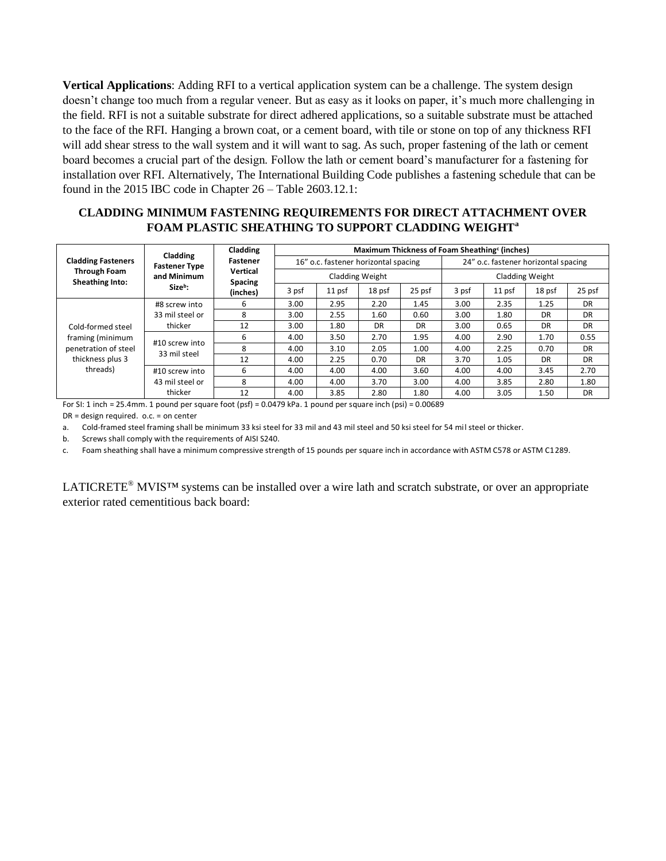**Vertical Applications**: Adding RFI to a vertical application system can be a challenge. The system design doesn't change too much from a regular veneer. But as easy as it looks on paper, it's much more challenging in the field. RFI is not a suitable substrate for direct adhered applications, so a suitable substrate must be attached to the face of the RFI. Hanging a brown coat, or a cement board, with tile or stone on top of any thickness RFI will add shear stress to the wall system and it will want to sag. As such, proper fastening of the lath or cement board becomes a crucial part of the design. Follow the lath or cement board's manufacturer for a fastening for installation over RFI. Alternatively, The International Building Code publishes a fastening schedule that can be found in the 2015 IBC code in Chapter 26 – Table 2603.12.1:

## **CLADDING MINIMUM FASTENING REQUIREMENTS FOR DIRECT ATTACHMENT OVER FOAM PLASTIC SHEATHING TO SUPPORT CLADDING WEIGHT<sup>a</sup>**

| <b>Cladding Fasteners</b><br><b>Through Foam</b><br>Sheathing Into:                           | Cladding<br><b>Fastener Type</b><br>and Minimum<br>Size <sup>b</sup> : | Cladding<br>Fastener<br>Vertical<br><b>Spacing</b><br>(inches) | Maximum Thickness of Foam Sheathing <sup>c</sup> (inches) |        |        |                                      |                 |        |        |        |
|-----------------------------------------------------------------------------------------------|------------------------------------------------------------------------|----------------------------------------------------------------|-----------------------------------------------------------|--------|--------|--------------------------------------|-----------------|--------|--------|--------|
|                                                                                               |                                                                        |                                                                | 16" o.c. fastener horizontal spacing                      |        |        | 24" o.c. fastener horizontal spacing |                 |        |        |        |
|                                                                                               |                                                                        |                                                                | Cladding Weight                                           |        |        |                                      | Cladding Weight |        |        |        |
|                                                                                               |                                                                        |                                                                | 3 psf                                                     | 11 psf | 18 psf | 25 psf                               | 3 psf           | 11 psf | 18 psf | 25 psf |
| Cold-formed steel<br>framing (minimum<br>penetration of steel<br>thickness plus 3<br>threads) | #8 screw into<br>33 mil steel or<br>thicker                            | 6                                                              | 3.00                                                      | 2.95   | 2.20   | 1.45                                 | 3.00            | 2.35   | 1.25   | DR     |
|                                                                                               |                                                                        | 8                                                              | 3.00                                                      | 2.55   | 1.60   | 0.60                                 | 3.00            | 1.80   | DR     | DR     |
|                                                                                               |                                                                        | 12                                                             | 3.00                                                      | 1.80   | DR     | DR                                   | 3.00            | 0.65   | DR     | DR     |
|                                                                                               | #10 screw into<br>33 mil steel                                         | 6                                                              | 4.00                                                      | 3.50   | 2.70   | 1.95                                 | 4.00            | 2.90   | 1.70   | 0.55   |
|                                                                                               |                                                                        | 8                                                              | 4.00                                                      | 3.10   | 2.05   | 1.00                                 | 4.00            | 2.25   | 0.70   | DR     |
|                                                                                               |                                                                        | 12                                                             | 4.00                                                      | 2.25   | 0.70   | DR                                   | 3.70            | 1.05   | DR     | DR     |
|                                                                                               | #10 screw into                                                         | 6                                                              | 4.00                                                      | 4.00   | 4.00   | 3.60                                 | 4.00            | 4.00   | 3.45   | 2.70   |
|                                                                                               | 43 mil steel or                                                        | 8                                                              | 4.00                                                      | 4.00   | 3.70   | 3.00                                 | 4.00            | 3.85   | 2.80   | 1.80   |
|                                                                                               | thicker                                                                | 12                                                             | 4.00                                                      | 3.85   | 2.80   | 1.80                                 | 4.00            | 3.05   | 1.50   | DR     |

For SI: 1 inch = 25.4mm. 1 pound per square foot (psf) = 0.0479 kPa. 1 pound per square inch (psi) = 0.00689

DR = design required. o.c. = on center

a. Cold-framed steel framing shall be minimum 33 ksi steel for 33 mil and 43 mil steel and 50 ksi steel for 54 mil steel or thicker.

b. Screws shall comply with the requirements of AISI S240.

c. Foam sheathing shall have a minimum compressive strength of 15 pounds per square inch in accordance with ASTM C578 or ASTM C1289.

LATICRETE<sup>®</sup> MVIS<sup>TM</sup> systems can be installed over a wire lath and scratch substrate, or over an appropriate exterior rated cementitious back board: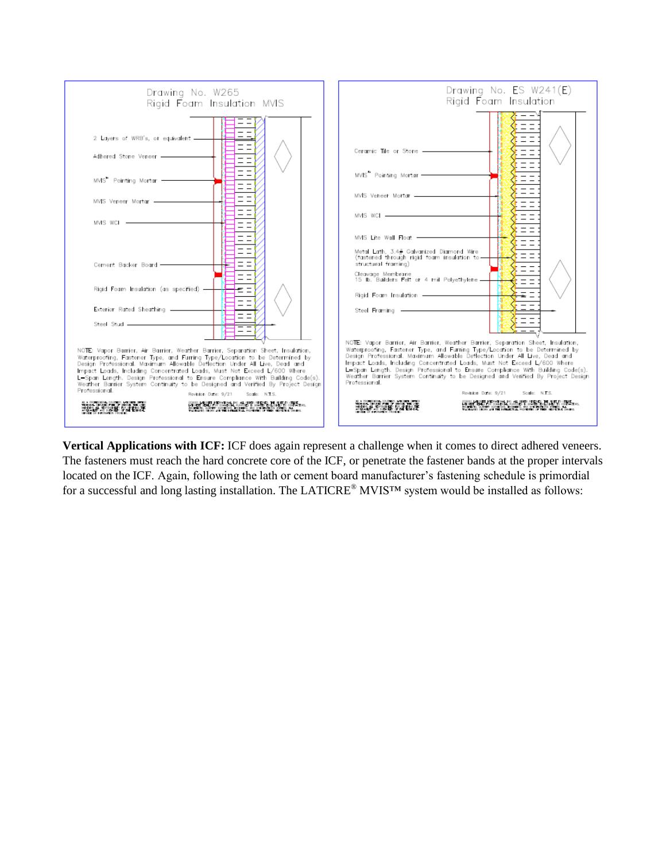

**Vertical Applications with ICF:** ICF does again represent a challenge when it comes to direct adhered veneers. The fasteners must reach the hard concrete core of the ICF, or penetrate the fastener bands at the proper intervals located on the ICF. Again, following the lath or cement board manufacturer's fastening schedule is primordial for a successful and long lasting installation. The LATICRE® MVIS™ system would be installed as follows: